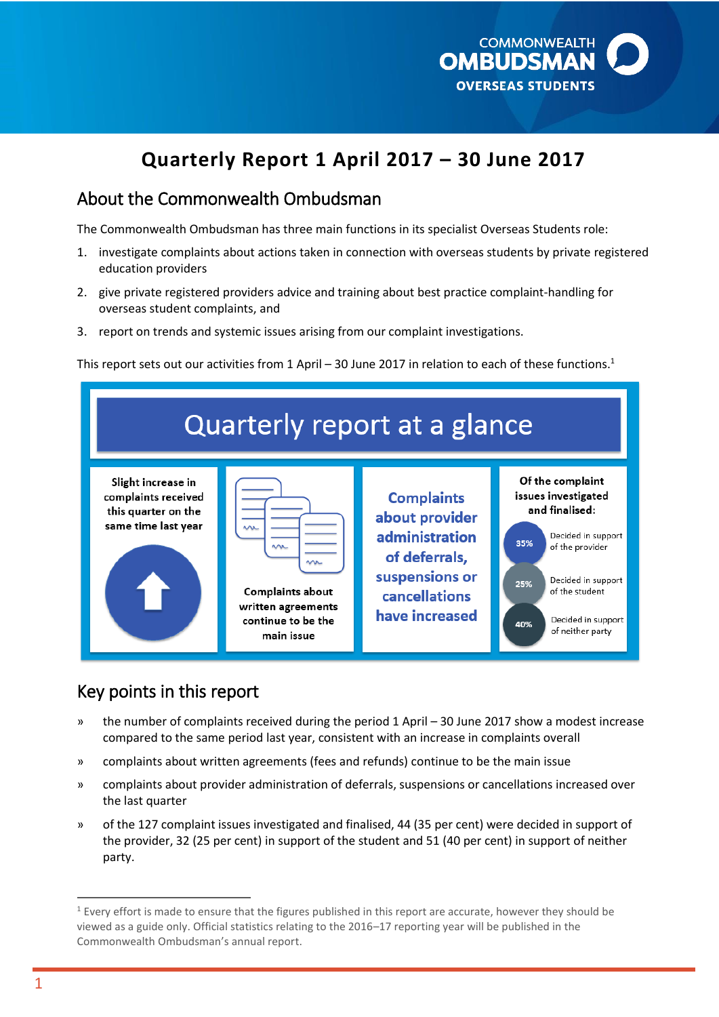

# **Quarterly Report 1 April 2017 – 30 June 2017**

### About the Commonwealth Ombudsman

The Commonwealth Ombudsman has three main functions in its specialist Overseas Students role:

- 1. investigate complaints about actions taken in connection with overseas students by private registered education providers
- 2. give private registered providers advice and training about best practice complaint-handling for overseas student complaints, and
- 3. report on trends and systemic issues arising from our complaint investigations.

This report sets out our activities from 1 April - 30 June 2017 in relation to each of these functions.<sup>1</sup>

| Quarterly report at a glance                                                            |                                                                                                                   |                                                                                                                             |                                                                                                                                                                                                           |  |  |  |
|-----------------------------------------------------------------------------------------|-------------------------------------------------------------------------------------------------------------------|-----------------------------------------------------------------------------------------------------------------------------|-----------------------------------------------------------------------------------------------------------------------------------------------------------------------------------------------------------|--|--|--|
| Slight increase in<br>complaints received<br>this quarter on the<br>same time last year | <b>NV</b><br><b>MR</b><br><b>MR</b><br>Complaints about<br>written agreements<br>continue to be the<br>main issue | <b>Complaints</b><br>about provider<br>administration<br>of deferrals,<br>suspensions or<br>cancellations<br>have increased | Of the complaint<br>issues investigated<br>and finalised:<br>Decided in support<br>35%<br>of the provider<br>Decided in support<br>25%<br>of the student<br>Decided in support<br>40%<br>of neither party |  |  |  |

### Key points in this report

- » the number of complaints received during the period 1 April 30 June 2017 show a modest increase compared to the same period last year, consistent with an increase in complaints overall
- » complaints about written agreements (fees and refunds) continue to be the main issue
- » complaints about provider administration of deferrals, suspensions or cancellations increased over the last quarter
- » of the 127 complaint issues investigated and finalised, 44 (35 per cent) were decided in support of the provider, 32 (25 per cent) in support of the student and 51 (40 per cent) in support of neither party.

 $1$  Every effort is made to ensure that the figures published in this report are accurate, however they should be viewed as a guide only. Official statistics relating to the 2016–17 reporting year will be published in the Commonwealth Ombudsman's annual report.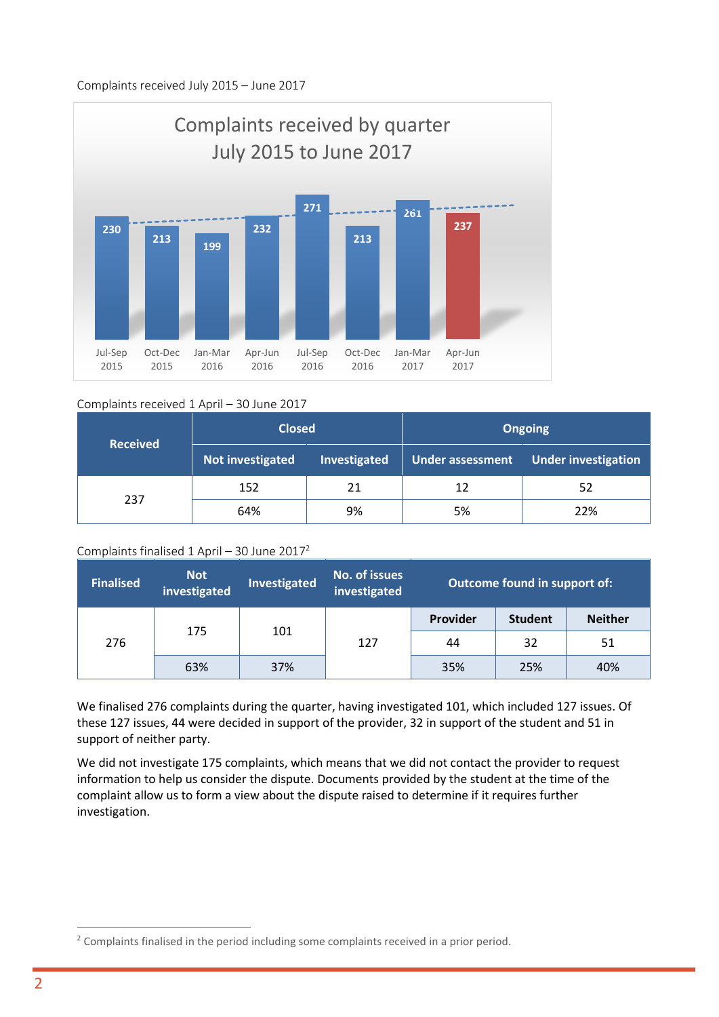

#### Complaints received 1 April – 30 June 2017

| <b>Received</b> | <b>Closed</b>    |              | <b>Ongoing</b>   |                            |
|-----------------|------------------|--------------|------------------|----------------------------|
|                 | Not investigated | Investigated | Under assessment | <b>Under investigation</b> |
|                 | 152              | 21           | 12               | 52                         |
| 237             | 64%              | 9%           | 5%               | 22%                        |

#### Complaints finalised  $1$  April – 30 June 2017<sup>2</sup>

| <b>Finalised</b> | <b>Not</b><br>investigated | <b>Investigated</b> | No. of issues<br>investigated | Outcome found in support of: |                |                |
|------------------|----------------------------|---------------------|-------------------------------|------------------------------|----------------|----------------|
|                  | 175                        | 101                 |                               | Provider                     | <b>Student</b> | <b>Neither</b> |
| 276              |                            |                     | 127                           | 44                           | 32             | 51             |
|                  | 63%                        | 37%                 |                               | 35%                          | 25%            | 40%            |

We finalised 276 complaints during the quarter, having investigated 101, which included 127 issues. Of these 127 issues, 44 were decided in support of the provider, 32 in support of the student and 51 in support of neither party.

We did not investigate 175 complaints, which means that we did not contact the provider to request information to help us consider the dispute. Documents provided by the student at the time of the complaint allow us to form a view about the dispute raised to determine if it requires further investigation.

<sup>&</sup>lt;sup>2</sup> Complaints finalised in the period including some complaints received in a prior period.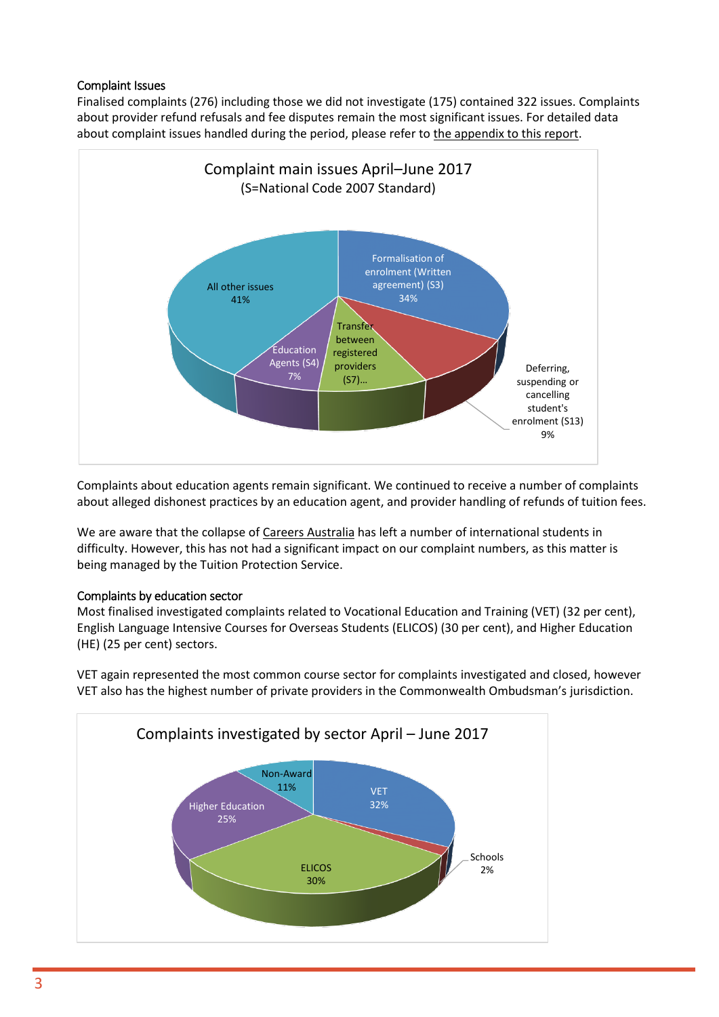#### Complaint Issues

Finalised complaints (276) including those we did not investigate (175) contained 322 issues. Complaints about provider refund refusals and fee disputes remain the most significant issues. For detailed data about complaint issues handled during the period, please refer to [the appendix to this report.](#page-9-0)



Complaints about education agents remain significant. We continued to receive a number of complaints about alleged dishonest practices by an education agent, and provider handling of refunds of tuition fees.

We are aware that the collapse o[f Careers Australia](http://www.ombudsman.gov.au/__data/assets/pdf_file/0023/45932/Careers-Australia-closure-v3.pdf) has left a number of international students in difficulty. However, this has not had a significant impact on our complaint numbers, as this matter is being managed by the Tuition Protection Service.

#### Complaints by education sector

Most finalised investigated complaints related to Vocational Education and Training (VET) (32 per cent), English Language Intensive Courses for Overseas Students (ELICOS) (30 per cent), and Higher Education (HE) (25 per cent) sectors.

VET again represented the most common course sector for complaints investigated and closed, however VET also has the highest number of private providers in the Commonwealth Ombudsman's jurisdiction.

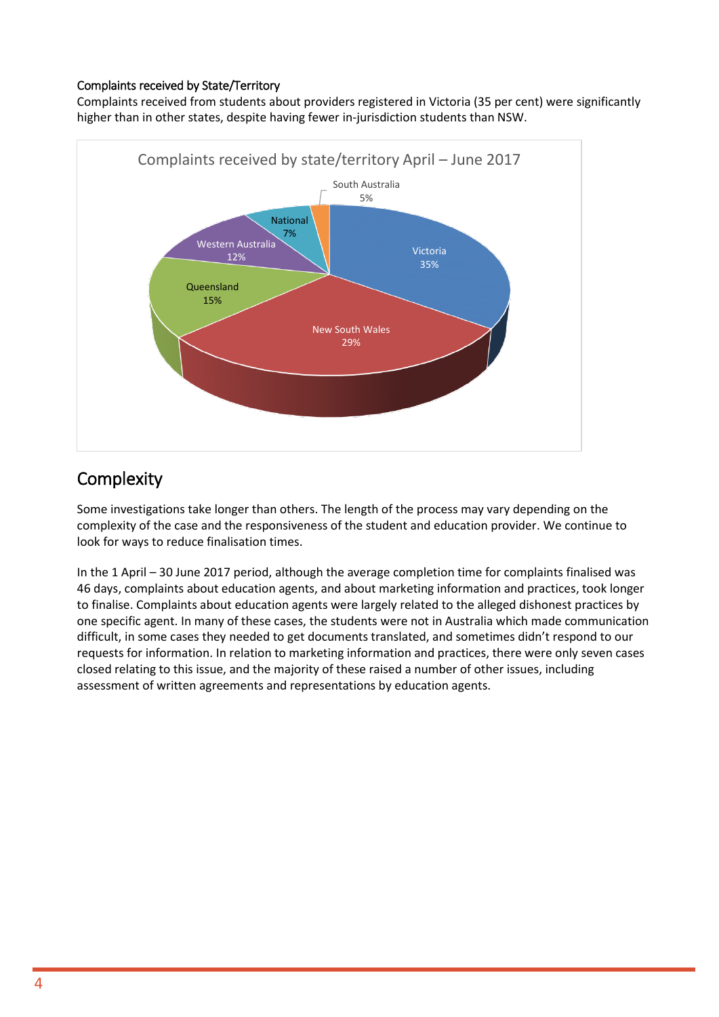#### Complaints received by State/Territory

Complaints received from students about providers registered in Victoria (35 per cent) were significantly higher than in other states, despite having fewer in-jurisdiction students than NSW.



## **Complexity**

Some investigations take longer than others. The length of the process may vary depending on the complexity of the case and the responsiveness of the student and education provider. We continue to look for ways to reduce finalisation times.

In the 1 April – 30 June 2017 period, although the average completion time for complaints finalised was 46 days, complaints about education agents, and about marketing information and practices, took longer to finalise. Complaints about education agents were largely related to the alleged dishonest practices by one specific agent. In many of these cases, the students were not in Australia which made communication difficult, in some cases they needed to get documents translated, and sometimes didn't respond to our requests for information. In relation to marketing information and practices, there were only seven cases closed relating to this issue, and the majority of these raised a number of other issues, including assessment of written agreements and representations by education agents.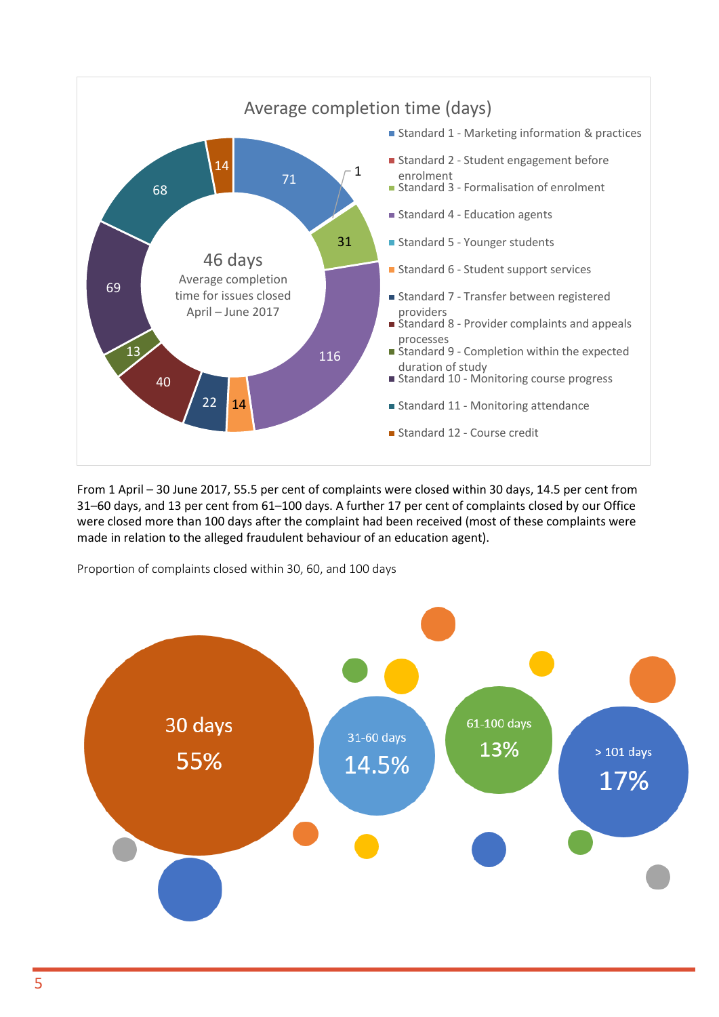

From 1 April – 30 June 2017, 55.5 per cent of complaints were closed within 30 days, 14.5 per cent from 31–60 days, and 13 per cent from 61–100 days. A further 17 per cent of complaints closed by our Office were closed more than 100 days after the complaint had been received (most of these complaints were made in relation to the alleged fraudulent behaviour of an education agent).

Proportion of complaints closed within 30, 60, and 100 days

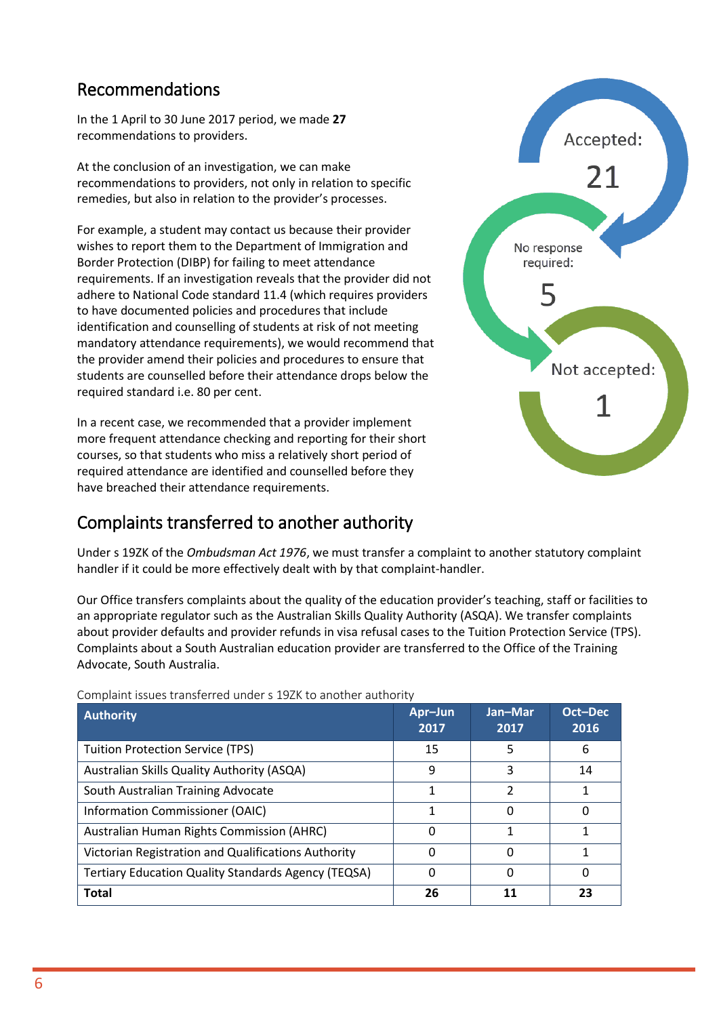## Recommendations

In the 1 April to 30 June 2017 period, we made **27** recommendations to providers.

At the conclusion of an investigation, we can make recommendations to providers, not only in relation to specific remedies, but also in relation to the provider's processes.

For example, a student may contact us because their provider wishes to report them to the Department of Immigration and Border Protection (DIBP) for failing to meet attendance requirements. If an investigation reveals that the provider did not adhere to National Code standard 11.4 (which requires providers to have documented policies and procedures that include identification and counselling of students at risk of not meeting mandatory attendance requirements), we would recommend that the provider amend their policies and procedures to ensure that students are counselled before their attendance drops below the required standard i.e. 80 per cent.

In a recent case, we recommended that a provider implement more frequent attendance checking and reporting for their short courses, so that students who miss a relatively short period of required attendance are identified and counselled before they have breached their attendance requirements.

## Complaints transferred to another authority



Under s 19ZK of the *Ombudsman Act 1976*, we must transfer a complaint to another statutory complaint handler if it could be more effectively dealt with by that complaint-handler.

Our Office transfers complaints about the quality of the education provider's teaching, staff or facilities to an appropriate regulator such as the Australian Skills Quality Authority (ASQA). We transfer complaints about provider defaults and provider refunds in visa refusal cases to the Tuition Protection Service (TPS). Complaints about a South Australian education provider are transferred to the Office of the Training Advocate, South Australia.

| Authority                                                  | Apr-Jun<br>2017 | Jan-Mar<br>2017 | Oct-Dec<br>2016 |
|------------------------------------------------------------|-----------------|-----------------|-----------------|
| <b>Tuition Protection Service (TPS)</b>                    | 15              | 5               | 6               |
| Australian Skills Quality Authority (ASQA)                 | 9               | 3               | 14              |
| South Australian Training Advocate                         | 1               | 2               |                 |
| Information Commissioner (OAIC)                            |                 | O               | 0               |
| <b>Australian Human Rights Commission (AHRC)</b>           |                 |                 |                 |
| Victorian Registration and Qualifications Authority        |                 | $\Omega$        |                 |
| <b>Tertiary Education Quality Standards Agency (TEQSA)</b> |                 | 0               | 0               |
| <b>Total</b>                                               | 26              | 11              | 23              |

Complaint issues transferred under s 19ZK to another authority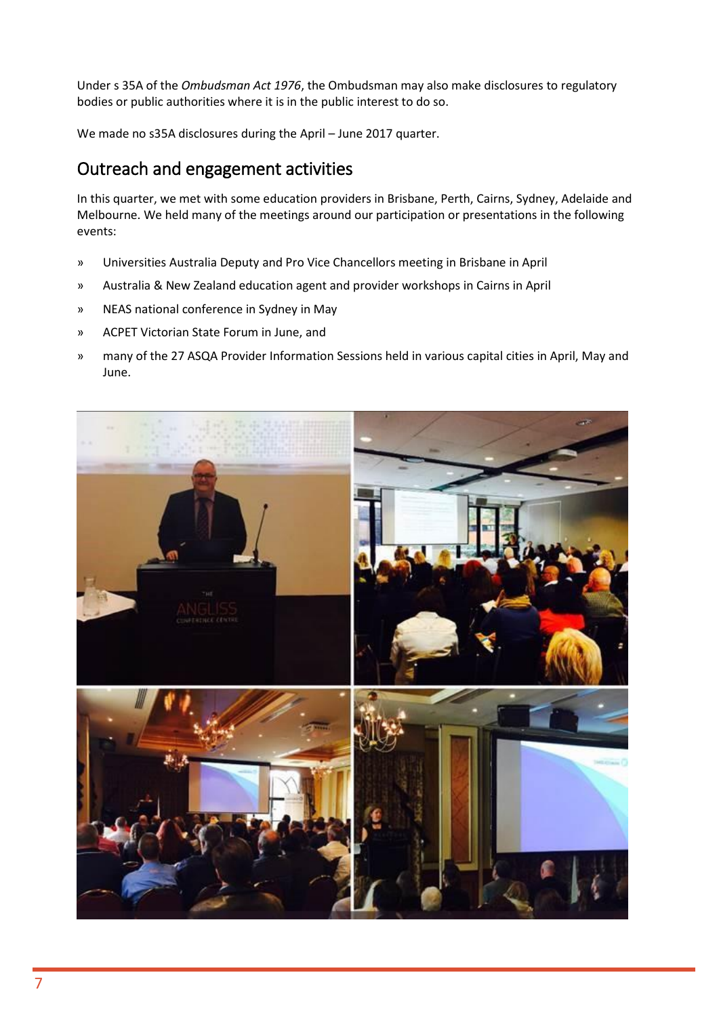Under s 35A of the *Ombudsman Act 1976*, the Ombudsman may also make disclosures to regulatory bodies or public authorities where it is in the public interest to do so.

We made no s35A disclosures during the April – June 2017 quarter.

### Outreach and engagement activities

In this quarter, we met with some education providers in Brisbane, Perth, Cairns, Sydney, Adelaide and Melbourne. We held many of the meetings around our participation or presentations in the following events:

- » Universities Australia Deputy and Pro Vice Chancellors meeting in Brisbane in April
- » Australia & New Zealand education agent and provider workshops in Cairns in April
- » NEAS national conference in Sydney in May
- » ACPET Victorian State Forum in June, and
- » many of the 27 ASQA Provider Information Sessions held in various capital cities in April, May and June.

![](_page_6_Picture_9.jpeg)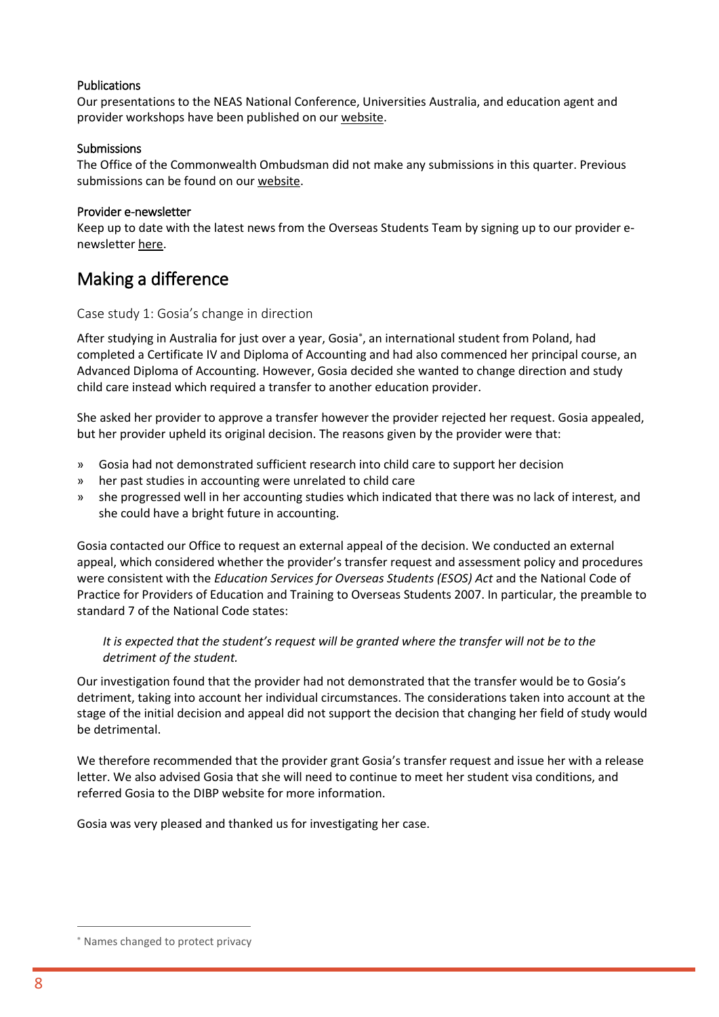#### Publications

Our presentations to the NEAS National Conference, Universities Australia, and education agent and provider workshops have been published on ou[r website.](http://www.ombudsman.gov.au/news-and-media/speeches-and-presentations)

#### **Submissions**

The Office of the Commonwealth Ombudsman did not make any submissions in this quarter. Previous submissions can be found on ou[r website.](http://www.ombudsman.gov.au/publications/submissions)

#### Provider e-newsletter

Keep up to date with the latest news from the Overseas Students Team by signing up to our provider enewslette[r here.](http://www.ombudsman.gov.au/news-and-media/e-bulletins/overseas-student-provider-e-news/subscribe-to-the-overseas-student-ombudsman-provider-e-newsletter)

### Making a difference

#### Case study 1: Gosia's change in direction

After studying in Australia for just over a year, Gosia<sup>\*</sup>, an international student from Poland, had completed a Certificate IV and Diploma of Accounting and had also commenced her principal course, an Advanced Diploma of Accounting. However, Gosia decided she wanted to change direction and study child care instead which required a transfer to another education provider.

She asked her provider to approve a transfer however the provider rejected her request. Gosia appealed, but her provider upheld its original decision. The reasons given by the provider were that:

- » Gosia had not demonstrated sufficient research into child care to support her decision
- » her past studies in accounting were unrelated to child care
- » she progressed well in her accounting studies which indicated that there was no lack of interest, and she could have a bright future in accounting.

Gosia contacted our Office to request an external appeal of the decision. We conducted an external appeal, which considered whether the provider's transfer request and assessment policy and procedures were consistent with the *Education Services for Overseas Students (ESOS) Act* and the National Code of Practice for Providers of Education and Training to Overseas Students 2007. In particular, the preamble to standard 7 of the National Code states:

#### It is expected that the student's request will be granted where the transfer will not be to the *detriment of the student.*

Our investigation found that the provider had not demonstrated that the transfer would be to Gosia's detriment, taking into account her individual circumstances. The considerations taken into account at the stage of the initial decision and appeal did not support the decision that changing her field of study would be detrimental.

We therefore recommended that the provider grant Gosia's transfer request and issue her with a release letter. We also advised Gosia that she will need to continue to meet her student visa conditions, and referred Gosia to the DIBP website for more information.

Gosia was very pleased and thanked us for investigating her case.

Names changed to protect privacy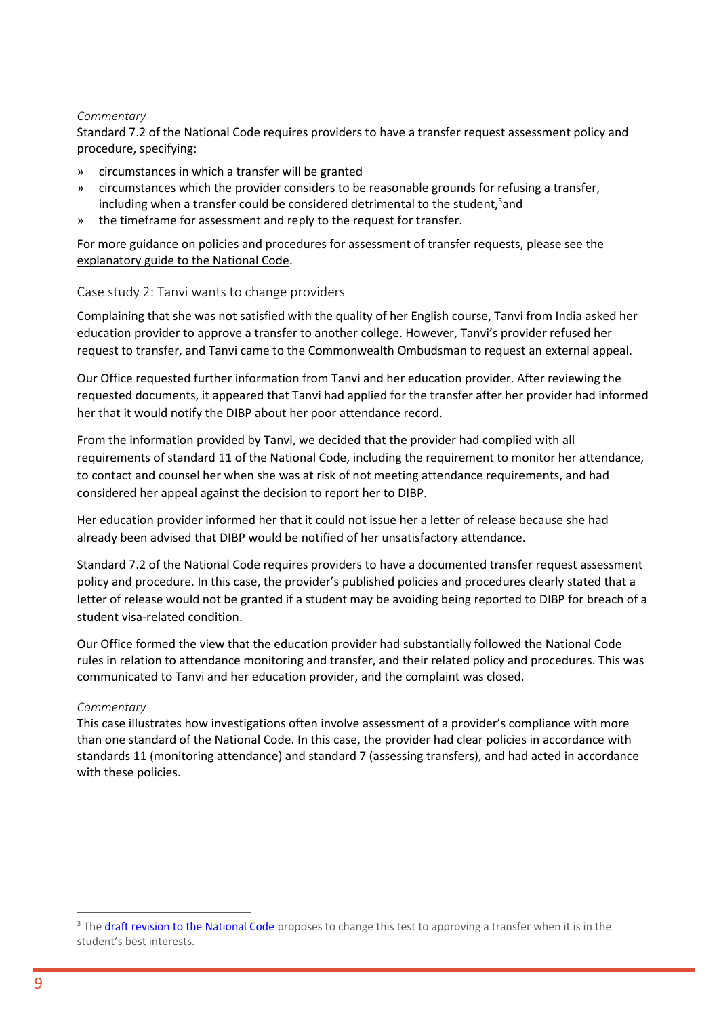#### *Commentary*

Standard 7.2 of the National Code requires providers to have a transfer request assessment policy and procedure, specifying:

- » circumstances in which a transfer will be granted
- » circumstances which the provider considers to be reasonable grounds for refusing a transfer, including when a transfer could be considered detrimental to the student, $3$  and
- » the timeframe for assessment and reply to the request for transfer.

For more guidance on policies and procedures for assessment of transfer requests, please see the [explanatory guide to the National Code.](https://internationaleducation.gov.au/Regulatory-Information/Education-Services-for-Overseas-Students-ESOS-Legislative-Framework/National-Code/nationalcodepartd/Pages/ExplanatoryguideD7.aspx)

#### Case study 2: Tanvi wants to change providers

Complaining that she was not satisfied with the quality of her English course, Tanvi from India asked her education provider to approve a transfer to another college. However, Tanvi's provider refused her request to transfer, and Tanvi came to the Commonwealth Ombudsman to request an external appeal.

Our Office requested further information from Tanvi and her education provider. After reviewing the requested documents, it appeared that Tanvi had applied for the transfer after her provider had informed her that it would notify the DIBP about her poor attendance record.

From the information provided by Tanvi, we decided that the provider had complied with all requirements of standard 11 of the National Code, including the requirement to monitor her attendance, to contact and counsel her when she was at risk of not meeting attendance requirements, and had considered her appeal against the decision to report her to DIBP.

Her education provider informed her that it could not issue her a letter of release because she had already been advised that DIBP would be notified of her unsatisfactory attendance.

Standard 7.2 of the National Code requires providers to have a documented transfer request assessment policy and procedure. In this case, the provider's published policies and procedures clearly stated that a letter of release would not be granted if a student may be avoiding being reported to DIBP for breach of a student visa-related condition.

Our Office formed the view that the education provider had substantially followed the National Code rules in relation to attendance monitoring and transfer, and their related policy and procedures. This was communicated to Tanvi and her education provider, and the complaint was closed.

#### *Commentary*

This case illustrates how investigations often involve assessment of a provider's compliance with more than one standard of the National Code. In this case, the provider had clear policies in accordance with standards 11 (monitoring attendance) and standard 7 (assessing transfers), and had acted in accordance with these policies.

<sup>&</sup>lt;sup>3</sup> Th[e draft revision to the National Code](https://docs.education.gov.au/node/43046) proposes to change this test to approving a transfer when it is in the student's best interests.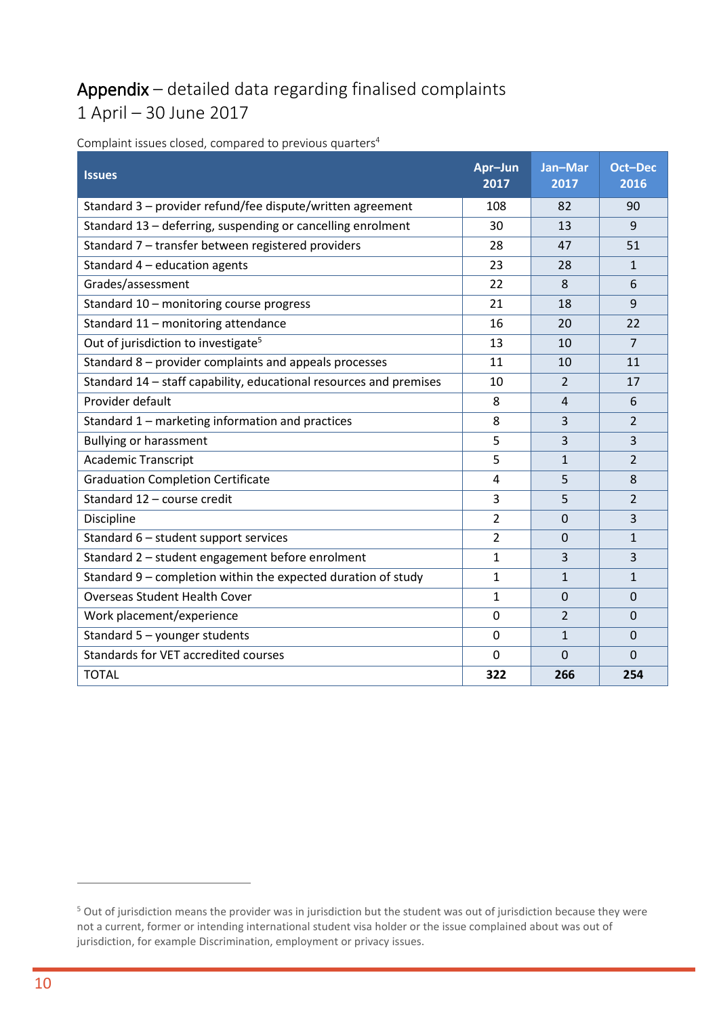# Appendix – detailed data regarding finalised complaints 1 April – 30 June 2017

| <b>Issues</b>                                                      | Apr-Jun<br>2017 | Jan-Mar<br>2017 | <b>Oct-Dec</b><br>2016 |
|--------------------------------------------------------------------|-----------------|-----------------|------------------------|
| Standard 3 - provider refund/fee dispute/written agreement         | 108             | 82              | 90                     |
| Standard 13 - deferring, suspending or cancelling enrolment        | 30              | 13              | 9                      |
| Standard 7 - transfer between registered providers                 | 28              | 47              | 51                     |
| Standard $4$ – education agents                                    | 23              | 28              | $\mathbf{1}$           |
| Grades/assessment                                                  | 22              | 8               | 6                      |
| Standard 10 - monitoring course progress                           | 21              | 18              | 9                      |
| Standard 11 - monitoring attendance                                | 16              | 20              | 22                     |
| Out of jurisdiction to investigate <sup>5</sup>                    | 13              | 10              | $\overline{7}$         |
| Standard 8 - provider complaints and appeals processes             | 11              | 10              | 11                     |
| Standard 14 - staff capability, educational resources and premises | 10              | $\overline{2}$  | 17                     |
| Provider default                                                   | 8               | 4               | 6                      |
| Standard 1 - marketing information and practices                   | 8               | 3               | $\overline{2}$         |
| <b>Bullying or harassment</b>                                      | 5               | $\overline{3}$  | 3                      |
| <b>Academic Transcript</b>                                         | 5               | $\mathbf{1}$    | $\overline{2}$         |
| <b>Graduation Completion Certificate</b>                           | $\overline{a}$  | 5               | 8                      |
| Standard 12 - course credit                                        | 3               | 5               | $\overline{2}$         |
| Discipline                                                         | $\overline{2}$  | $\Omega$        | 3                      |
| Standard 6 - student support services                              | $\overline{2}$  | $\Omega$        | $\mathbf{1}$           |
| Standard 2 - student engagement before enrolment                   | $\mathbf{1}$    | 3               | 3                      |
| Standard 9 - completion within the expected duration of study      | 1               | $\mathbf{1}$    | $\mathbf{1}$           |
| <b>Overseas Student Health Cover</b>                               | $\mathbf{1}$    | $\overline{0}$  | $\mathbf 0$            |
| Work placement/experience                                          | $\mathbf 0$     | $\overline{2}$  | $\Omega$               |
| Standard 5 - younger students                                      | $\Omega$        | $\mathbf{1}$    | $\Omega$               |
| Standards for VET accredited courses                               | $\mathbf 0$     | $\overline{0}$  | $\mathbf{0}$           |
| <b>TOTAL</b>                                                       | 322             | 266             | 254                    |

<span id="page-9-0"></span>Complaint issues closed, compared to previous quarters<sup>4</sup>

<sup>&</sup>lt;sup>5</sup> Out of jurisdiction means the provider was in jurisdiction but the student was out of jurisdiction because they were not a current, former or intending international student visa holder or the issue complained about was out of jurisdiction, for example Discrimination, employment or privacy issues.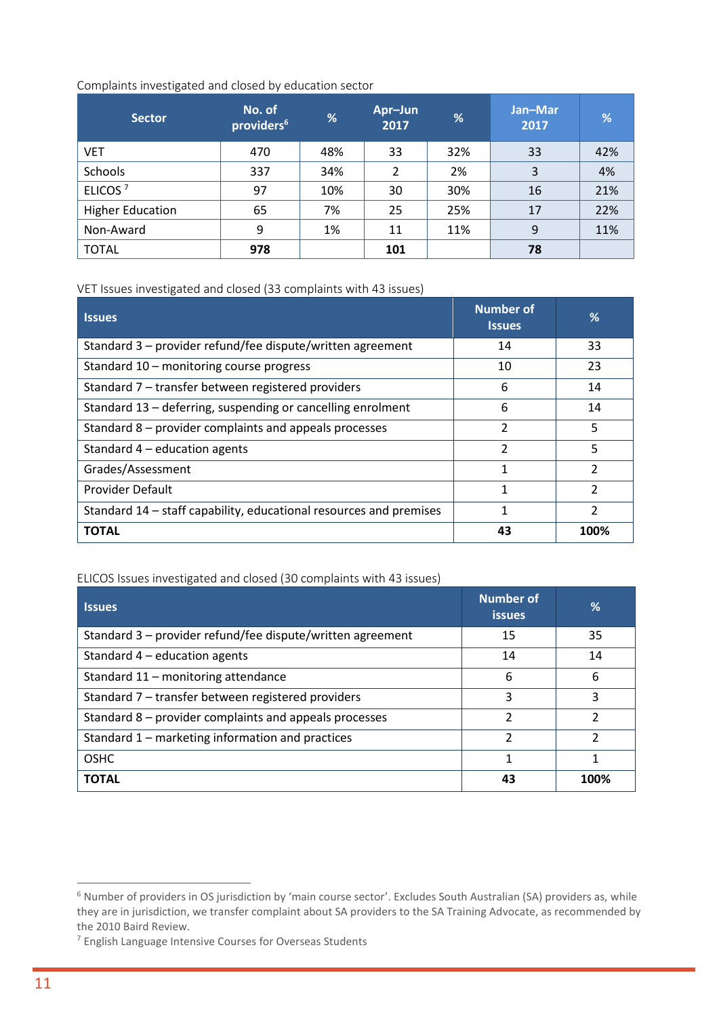#### Complaints investigated and closed by education sector

| <b>Sector</b>           | No. of<br>providers <sup>6</sup> | %   | Apr-Jun<br>2017 | %   | Jan-Mar<br>2017 | %   |
|-------------------------|----------------------------------|-----|-----------------|-----|-----------------|-----|
| <b>VET</b>              | 470                              | 48% | 33              | 32% | 33              | 42% |
| Schools                 | 337                              | 34% | $\overline{2}$  | 2%  | 3               | 4%  |
| ELICOS <sup>7</sup>     | 97                               | 10% | 30              | 30% | 16              | 21% |
| <b>Higher Education</b> | 65                               | 7%  | 25              | 25% | 17              | 22% |
| Non-Award               | 9                                | 1%  | 11              | 11% | 9               | 11% |
| <b>TOTAL</b>            | 978                              |     | 101             |     | 78              |     |

VET Issues investigated and closed (33 complaints with 43 issues)

| <b>Issues</b>                                                      | <b>Number of</b><br><b>Issues</b> | %             |
|--------------------------------------------------------------------|-----------------------------------|---------------|
| Standard 3 - provider refund/fee dispute/written agreement         | 14                                | 33            |
| Standard 10 - monitoring course progress                           | 10                                | 23            |
| Standard 7 – transfer between registered providers                 | 6                                 | 14            |
| Standard 13 – deferring, suspending or cancelling enrolment        | 6                                 | 14            |
| Standard 8 – provider complaints and appeals processes             | C                                 | 5             |
| Standard $4$ – education agents                                    | 2                                 | 5             |
| Grades/Assessment                                                  | 1                                 | 2             |
| <b>Provider Default</b>                                            | 1                                 | $\mathfrak z$ |
| Standard 14 – staff capability, educational resources and premises | 1                                 | $\mathcal{P}$ |
| <b>TOTAL</b>                                                       | 43                                | 100%          |

#### ELICOS Issues investigated and closed (30 complaints with 43 issues)

| <b>Issues</b>                                              | Number of<br><b>issues</b> | ℅    |
|------------------------------------------------------------|----------------------------|------|
| Standard 3 – provider refund/fee dispute/written agreement | 15                         | 35   |
| Standard $4$ – education agents                            | 14                         | 14   |
| Standard 11 - monitoring attendance                        | 6                          | 6    |
| Standard 7 – transfer between registered providers         | ς                          | ς    |
| Standard 8 – provider complaints and appeals processes     | 2                          | 2    |
| Standard 1 – marketing information and practices           | $\mathfrak{p}$             | າ    |
| <b>OSHC</b>                                                | 1                          |      |
| <b>TOTAL</b>                                               | 43                         | 100% |

<sup>&</sup>lt;sup>6</sup> Number of providers in OS jurisdiction by 'main course sector'. Excludes South Australian (SA) providers as, while they are in jurisdiction, we transfer complaint about SA providers to the SA Training Advocate, as recommended by the 2010 Baird Review.

<sup>7</sup> English Language Intensive Courses for Overseas Students